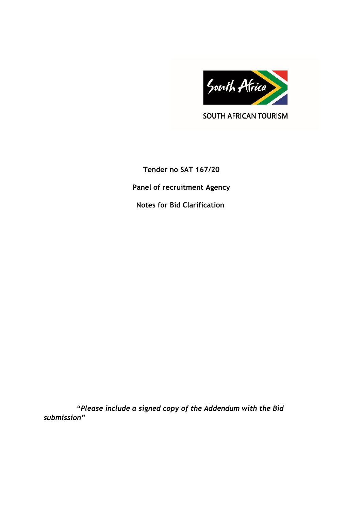

SOUTH AFRICAN TOURISM

**Tender no SAT 167/20 Panel of recruitment Agency Notes for Bid Clarification** 

 *"Please include a signed copy of the Addendum with the Bid submission"*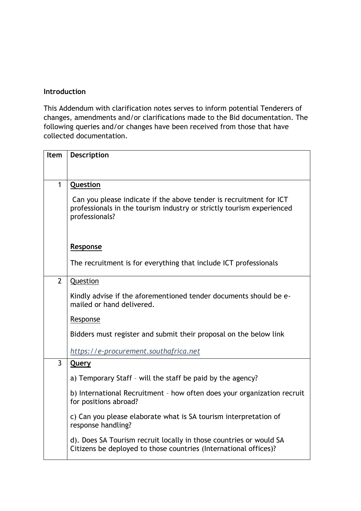## **Introduction**

This Addendum with clarification notes serves to inform potential Tenderers of changes, amendments and/or clarifications made to the Bid documentation. The following queries and/or changes have been received from those that have collected documentation.

| <b>Item</b>    | Description                                                                                                                                                   |
|----------------|---------------------------------------------------------------------------------------------------------------------------------------------------------------|
|                |                                                                                                                                                               |
| 1              | Question                                                                                                                                                      |
|                | Can you please indicate if the above tender is recruitment for ICT<br>professionals in the tourism industry or strictly tourism experienced<br>professionals? |
|                | <b>Response</b>                                                                                                                                               |
|                | The recruitment is for everything that include ICT professionals                                                                                              |
| $\overline{2}$ | Question                                                                                                                                                      |
|                | Kindly advise if the aforementioned tender documents should be e-<br>mailed or hand delivered.                                                                |
|                | <b>Response</b>                                                                                                                                               |
|                | Bidders must register and submit their proposal on the below link                                                                                             |
|                | https://e-procurement.southafrica.net                                                                                                                         |
| $\overline{3}$ | <b>Query</b>                                                                                                                                                  |
|                | a) Temporary Staff - will the staff be paid by the agency?                                                                                                    |
|                | b) International Recruitment - how often does your organization recruit<br>for positions abroad?                                                              |
|                | c) Can you please elaborate what is SA tourism interpretation of<br>response handling?                                                                        |
|                | d). Does SA Tourism recruit locally in those countries or would SA<br>Citizens be deployed to those countries (International offices)?                        |